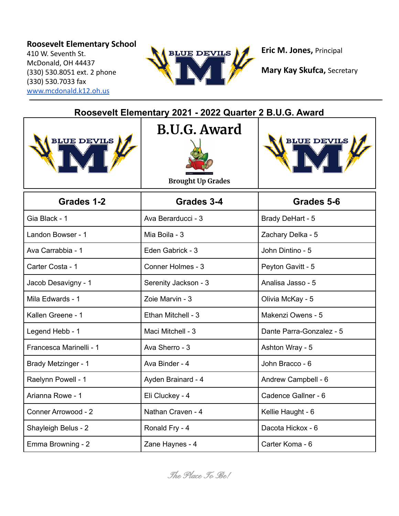## **Roosevelt Elementary School**

410 W. Seventh St. McDonald, OH 44437 (330) 530.8051 ext. 2 phone (330) 530.7033 fax [www.mcdonald.k12.oh.us](http://www.mcdonald.k12.oh.us)



**Eric M. Jones,** Principal

| Roosevelt Elementary 2021 - 2022 Quarter 2 B.U.G. Award |                                                 |                          |  |
|---------------------------------------------------------|-------------------------------------------------|--------------------------|--|
| BLUE DEVILS                                             | <b>B.U.G. Award</b><br><b>Brought Up Grades</b> | BLUE DEVILS              |  |
| Grades 1-2                                              | Grades 3-4                                      | Grades 5-6               |  |
| Gia Black - 1                                           | Ava Berarducci - 3                              | Brady DeHart - 5         |  |
| Landon Bowser - 1                                       | Mia Boila - 3                                   | Zachary Delka - 5        |  |
| Ava Carrabbia - 1                                       | Eden Gabrick - 3                                | John Dintino - 5         |  |
| Carter Costa - 1                                        | Conner Holmes - 3                               | Peyton Gavitt - 5        |  |
| Jacob Desavigny - 1                                     | Serenity Jackson - 3                            | Analisa Jasso - 5        |  |
| Mila Edwards - 1                                        | Zoie Marvin - 3                                 | Olivia McKay - 5         |  |
| Kallen Greene - 1                                       | Ethan Mitchell - 3                              | Makenzi Owens - 5        |  |
| Legend Hebb - 1                                         | Maci Mitchell - 3                               | Dante Parra-Gonzalez - 5 |  |
| Francesca Marinelli - 1                                 | Ava Sherro - 3                                  | Ashton Wray - 5          |  |
| Brady Metzinger - 1                                     | Ava Binder - 4                                  | John Bracco - 6          |  |
| Raelynn Powell - 1                                      | Ayden Brainard - 4                              | Andrew Campbell - 6      |  |
| Arianna Rowe - 1                                        | Eli Cluckey - 4                                 | Cadence Gallner - 6      |  |
| Conner Arrowood - 2                                     | Nathan Craven - 4                               | Kellie Haught - 6        |  |
| Shayleigh Belus - 2                                     | Ronald Fry - 4                                  | Dacota Hickox - 6        |  |
| Emma Browning - 2                                       | Zane Haynes - 4                                 | Carter Koma - 6          |  |

**Mary Kay Skufca,** Secretary

The Place To Be!